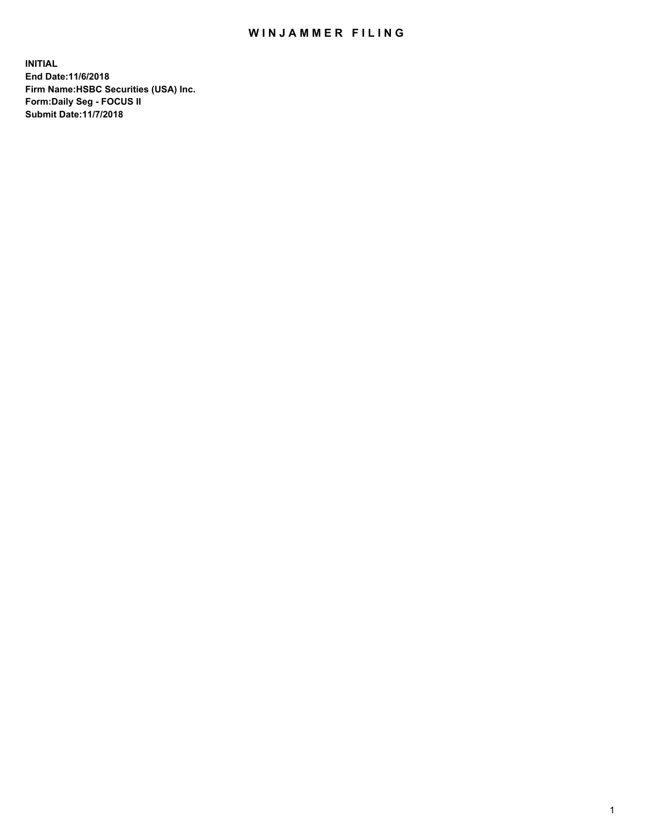## WIN JAMMER FILING

**INITIAL End Date:11/6/2018 Firm Name:HSBC Securities (USA) Inc. Form:Daily Seg - FOCUS II Submit Date:11/7/2018**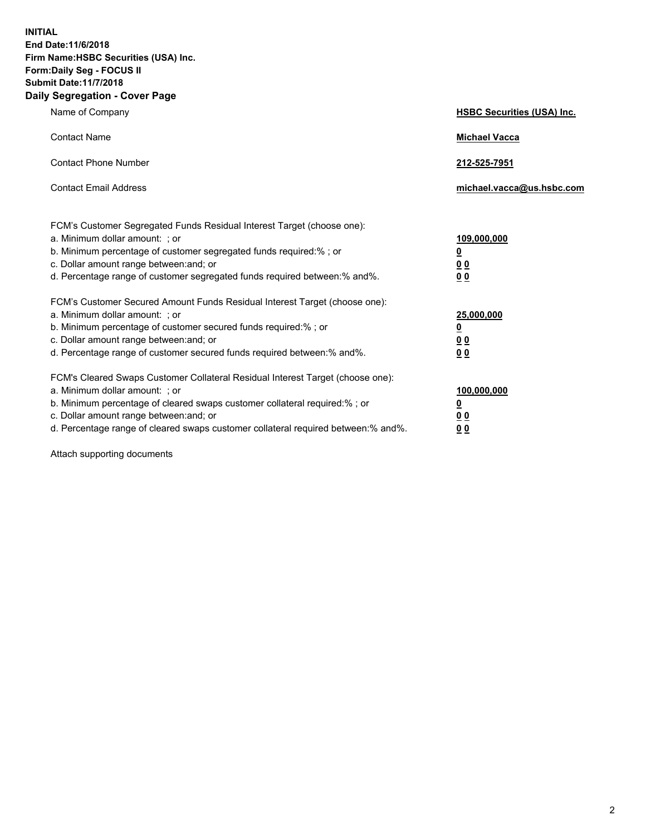**INITIAL End Date:11/6/2018 Firm Name:HSBC Securities (USA) Inc. Form:Daily Seg - FOCUS II Submit Date:11/7/2018 Daily Segregation - Cover Page**

| Name of Company                                                                                                                                                                                                                                                                                                                | <b>HSBC Securities (USA) Inc.</b>                                          |
|--------------------------------------------------------------------------------------------------------------------------------------------------------------------------------------------------------------------------------------------------------------------------------------------------------------------------------|----------------------------------------------------------------------------|
| <b>Contact Name</b>                                                                                                                                                                                                                                                                                                            | <b>Michael Vacca</b>                                                       |
| <b>Contact Phone Number</b>                                                                                                                                                                                                                                                                                                    | 212-525-7951                                                               |
| <b>Contact Email Address</b>                                                                                                                                                                                                                                                                                                   | michael.vacca@us.hsbc.com                                                  |
| FCM's Customer Segregated Funds Residual Interest Target (choose one):<br>a. Minimum dollar amount: : or<br>b. Minimum percentage of customer segregated funds required:% ; or<br>c. Dollar amount range between: and; or<br>d. Percentage range of customer segregated funds required between:% and%.                         | 109,000,000<br>$\overline{\mathbf{0}}$<br>0 <sub>0</sub><br>0 <sub>0</sub> |
| FCM's Customer Secured Amount Funds Residual Interest Target (choose one):<br>a. Minimum dollar amount: ; or<br>b. Minimum percentage of customer secured funds required:%; or<br>c. Dollar amount range between: and; or<br>d. Percentage range of customer secured funds required between:% and%.                            | 25,000,000<br>$\overline{\mathbf{0}}$<br>0 <sub>0</sub><br>0 <sub>0</sub>  |
| FCM's Cleared Swaps Customer Collateral Residual Interest Target (choose one):<br>a. Minimum dollar amount: ; or<br>b. Minimum percentage of cleared swaps customer collateral required:% ; or<br>c. Dollar amount range between: and; or<br>d. Percentage range of cleared swaps customer collateral required between:% and%. | 100,000,000<br>$\overline{\mathbf{0}}$<br>0 <sub>0</sub><br>0 <sub>0</sub> |

Attach supporting documents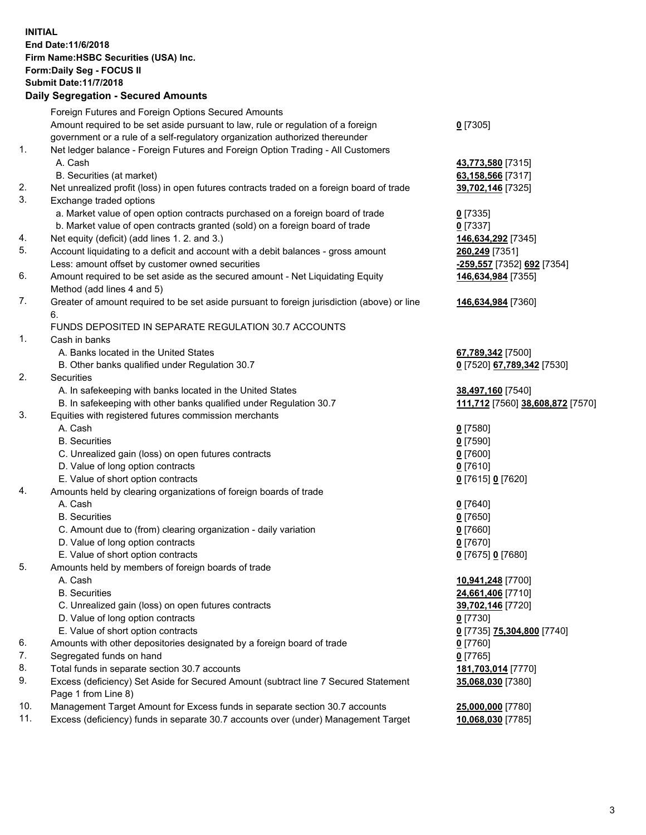**INITIAL End Date:11/6/2018 Firm Name:HSBC Securities (USA) Inc. Form:Daily Seg - FOCUS II Submit Date:11/7/2018 Daily Segregation - Secured Amounts** Foreign Futures and Foreign Options Secured Amounts Amount required to be set aside pursuant to law, rule or regulation of a foreign government or a rule of a self-regulatory organization authorized thereunder **0** [7305] 1. Net ledger balance - Foreign Futures and Foreign Option Trading - All Customers A. Cash **43,773,580** [7315] B. Securities (at market) **63,158,566** [7317] 2. Net unrealized profit (loss) in open futures contracts traded on a foreign board of trade **39,702,146** [7325] 3. Exchange traded options a. Market value of open option contracts purchased on a foreign board of trade **0** [7335] b. Market value of open contracts granted (sold) on a foreign board of trade **0** [7337] 4. Net equity (deficit) (add lines 1. 2. and 3.) **146,634,292** [7345] 5. Account liquidating to a deficit and account with a debit balances - gross amount **260,249** [7351] Less: amount offset by customer owned securities **-259,557** [7352] **692** [7354] 6. Amount required to be set aside as the secured amount - Net Liquidating Equity Method (add lines 4 and 5) **146,634,984** [7355] 7. Greater of amount required to be set aside pursuant to foreign jurisdiction (above) or line 6. **146,634,984** [7360] FUNDS DEPOSITED IN SEPARATE REGULATION 30.7 ACCOUNTS 1. Cash in banks A. Banks located in the United States **67,789,342** [7500] B. Other banks qualified under Regulation 30.7 **0** [7520] **67,789,342** [7530] 2. Securities A. In safekeeping with banks located in the United States **38,497,160** [7540] B. In safekeeping with other banks qualified under Regulation 30.7 **111,712** [7560] **38,608,872** [7570] 3. Equities with registered futures commission merchants A. Cash **0** [7580] B. Securities **0** [7590] C. Unrealized gain (loss) on open futures contracts **0** [7600] D. Value of long option contracts **0** [7610] E. Value of short option contracts **0** [7615] **0** [7620] 4. Amounts held by clearing organizations of foreign boards of trade A. Cash **0** [7640] B. Securities **0** [7650] C. Amount due to (from) clearing organization - daily variation **0** [7660] D. Value of long option contracts **0** [7670] E. Value of short option contracts **0** [7675] **0** [7680] 5. Amounts held by members of foreign boards of trade A. Cash **10,941,248** [7700] B. Securities **24,661,406** [7710] C. Unrealized gain (loss) on open futures contracts **39,702,146** [7720] D. Value of long option contracts **0** [7730] E. Value of short option contracts **0** [7735] **75,304,800** [7740] 6. Amounts with other depositories designated by a foreign board of trade **0** [7760] 7. Segregated funds on hand **0** [7765] 8. Total funds in separate section 30.7 accounts **181,703,014** [7770] 9. Excess (deficiency) Set Aside for Secured Amount (subtract line 7 Secured Statement Page 1 from Line 8) **35,068,030** [7380] 10. Management Target Amount for Excess funds in separate section 30.7 accounts **25,000,000** [7780]

11. Excess (deficiency) funds in separate 30.7 accounts over (under) Management Target **10,068,030** [7785]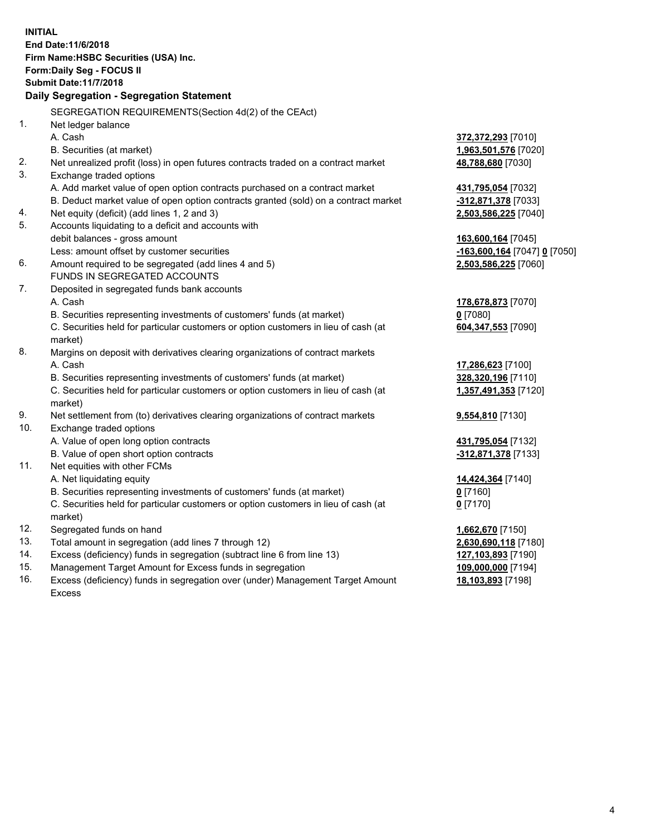**INITIAL End Date:11/6/2018 Firm Name:HSBC Securities (USA) Inc. Form:Daily Seg - FOCUS II Submit Date:11/7/2018 Daily Segregation - Segregation Statement** SEGREGATION REQUIREMENTS(Section 4d(2) of the CEAct) 1. Net ledger balance A. Cash **372,372,293** [7010] B. Securities (at market) **1,963,501,576** [7020] 2. Net unrealized profit (loss) in open futures contracts traded on a contract market **48,788,680** [7030] 3. Exchange traded options A. Add market value of open option contracts purchased on a contract market **431,795,054** [7032] B. Deduct market value of open option contracts granted (sold) on a contract market **-312,871,378** [7033] 4. Net equity (deficit) (add lines 1, 2 and 3) **2,503,586,225** [7040] 5. Accounts liquidating to a deficit and accounts with debit balances - gross amount **163,600,164** [7045] Less: amount offset by customer securities **-163,600,164** [7047] **0** [7050] 6. Amount required to be segregated (add lines 4 and 5) **2,503,586,225** [7060] FUNDS IN SEGREGATED ACCOUNTS 7. Deposited in segregated funds bank accounts A. Cash **178,678,873** [7070] B. Securities representing investments of customers' funds (at market) **0** [7080] C. Securities held for particular customers or option customers in lieu of cash (at market) **604,347,553** [7090] 8. Margins on deposit with derivatives clearing organizations of contract markets A. Cash **17,286,623** [7100] B. Securities representing investments of customers' funds (at market) **328,320,196** [7110] C. Securities held for particular customers or option customers in lieu of cash (at market) **1,357,491,353** [7120] 9. Net settlement from (to) derivatives clearing organizations of contract markets **9,554,810** [7130] 10. Exchange traded options A. Value of open long option contracts **431,795,054** [7132] B. Value of open short option contracts **-312,871,378** [7133] 11. Net equities with other FCMs A. Net liquidating equity **14,424,364** [7140] B. Securities representing investments of customers' funds (at market) **0** [7160] C. Securities held for particular customers or option customers in lieu of cash (at market) **0** [7170] 12. Segregated funds on hand **1,662,670** [7150] 13. Total amount in segregation (add lines 7 through 12) **2,630,690,118** [7180] 14. Excess (deficiency) funds in segregation (subtract line 6 from line 13) **127,103,893** [7190] 15. Management Target Amount for Excess funds in segregation **109,000,000** [7194] 16. Excess (deficiency) funds in segregation over (under) Management Target Amount **18,103,893** [7198]

Excess